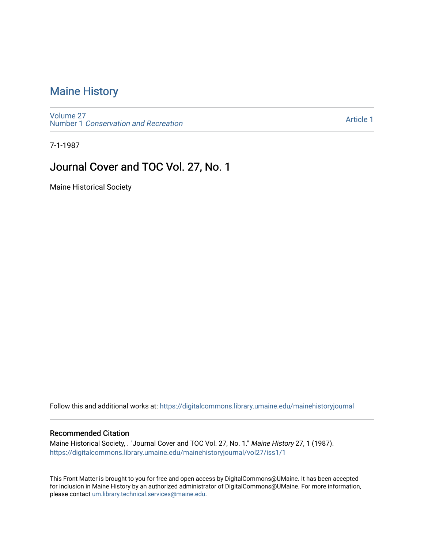## [Maine History](https://digitalcommons.library.umaine.edu/mainehistoryjournal)

[Volume 27](https://digitalcommons.library.umaine.edu/mainehistoryjournal/vol27) Number 1 [Conservation and Recreation](https://digitalcommons.library.umaine.edu/mainehistoryjournal/vol27/iss1) 

[Article 1](https://digitalcommons.library.umaine.edu/mainehistoryjournal/vol27/iss1/1) 

7-1-1987

# Journal Cover and TOC Vol. 27, No. 1

Maine Historical Society

Follow this and additional works at: [https://digitalcommons.library.umaine.edu/mainehistoryjournal](https://digitalcommons.library.umaine.edu/mainehistoryjournal?utm_source=digitalcommons.library.umaine.edu%2Fmainehistoryjournal%2Fvol27%2Fiss1%2F1&utm_medium=PDF&utm_campaign=PDFCoverPages) 

### Recommended Citation

Maine Historical Society, . "Journal Cover and TOC Vol. 27, No. 1." Maine History 27, 1 (1987). [https://digitalcommons.library.umaine.edu/mainehistoryjournal/vol27/iss1/1](https://digitalcommons.library.umaine.edu/mainehistoryjournal/vol27/iss1/1?utm_source=digitalcommons.library.umaine.edu%2Fmainehistoryjournal%2Fvol27%2Fiss1%2F1&utm_medium=PDF&utm_campaign=PDFCoverPages)

This Front Matter is brought to you for free and open access by DigitalCommons@UMaine. It has been accepted for inclusion in Maine History by an authorized administrator of DigitalCommons@UMaine. For more information, please contact [um.library.technical.services@maine.edu.](mailto:um.library.technical.services@maine.edu)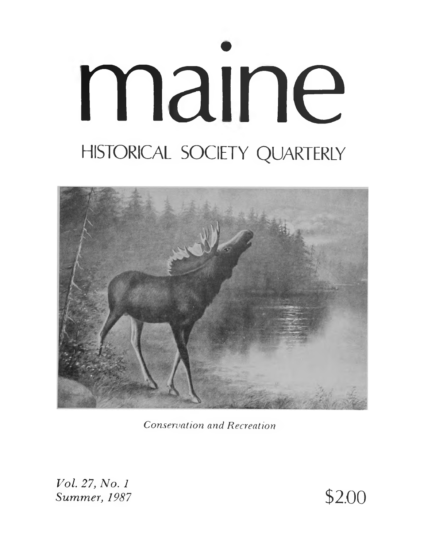# maine HISTORICAL SOCIETY QUARTERLY



**Conservation and Recreation** 

Vol. 27, No. 1 Summer, 1987

\$2.00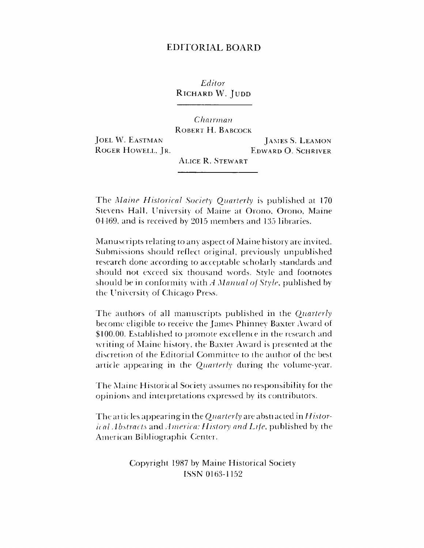## EDITORIAL BOARD

*Editor* RICHARD W. JUDD

*Chairman* Robert H. Babcock JOEL W. EASTMAN JAMES S. LEAMON ROGER HOWELL, JR. EDWARD O. SCHRIVER Alice R. Stewart

The *Maine Historical Society Quarterly* is published at 170 Stevens Hall, University of Maine at Orono, Orono, Maine 04469, and is received by 2015 members and 135 libraries.

Manuscripts relating to any aspect of Maine history are invited. Submissions should reflect original, previously unpublished research done according to acceptable scholarly standards and should not exceed six thousand words. Style and footnotes shotdd be in conformity with *A Manual of Style,* published by the University of Chicago Press.

The authors cd all manuscripts published in the *Quarterly* become eligible to receive the James Phinney Baxter Award of \$100.00. Established to promote excellence in the research and writing of Maine history, the Baxter Award is presented at the discretion of the Editorial Committee to the author of the best article appearing in the *Quarterly* during the volume-year.

The Maine Historical Society assumes no responsibility for the opinions and inteipretations expressed by its contributors.

The articles appearing in the *Quarterly* are abstracted in *Historic al Abstracts* and *America: History and Life,* published by the American Bibliographic Center.

> Copyright 1987 by Maine Historical Society ISSN 0163-1152